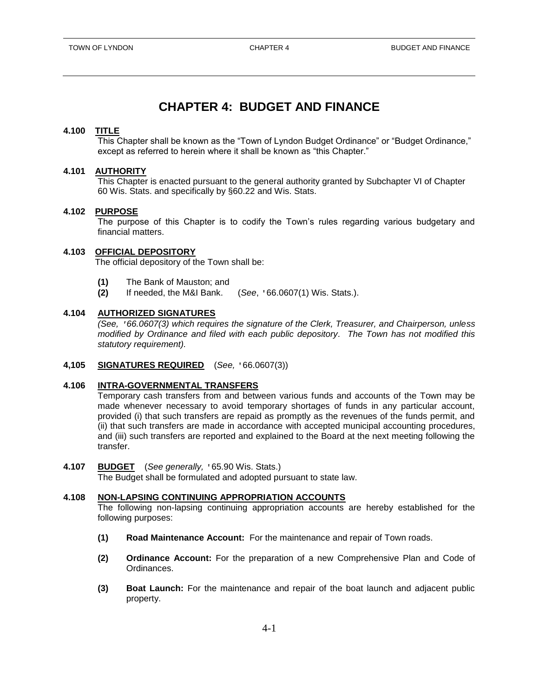# **CHAPTER 4: BUDGET AND FINANCE**

## **4.100 TITLE**

This Chapter shall be known as the "Town of Lyndon Budget Ordinance" or "Budget Ordinance," except as referred to herein where it shall be known as "this Chapter."

## **4.101 AUTHORITY**

This Chapter is enacted pursuant to the general authority granted by Subchapter VI of Chapter 60 Wis. Stats. and specifically by §60.22 and Wis. Stats.

#### **4.102 PURPOSE**

The purpose of this Chapter is to codify the Town's rules regarding various budgetary and financial matters.

#### **4.103 OFFICIAL DEPOSITORY**

The official depository of the Town shall be:

- **(1)** The Bank of Mauston; and
- **(2)** If needed, the M&I Bank. (*See*, '66.0607(1) Wis. Stats.).

#### **4.104 AUTHORIZED SIGNATURES**

*(See, '66.0607(3) which requires the signature of the Clerk, Treasurer, and Chairperson, unless modified by Ordinance and filed with each public depository. The Town has not modified this statutory requirement).*

## **4,105 SIGNATURES REQUIRED** (*See,* '66.0607(3))

#### **4.106 INTRA-GOVERNMENTAL TRANSFERS**

Temporary cash transfers from and between various funds and accounts of the Town may be made whenever necessary to avoid temporary shortages of funds in any particular account, provided (i) that such transfers are repaid as promptly as the revenues of the funds permit, and (ii) that such transfers are made in accordance with accepted municipal accounting procedures, and (iii) such transfers are reported and explained to the Board at the next meeting following the transfer.

**4.107 BUDGET** (*See generally,* '65.90 Wis. Stats.) The Budget shall be formulated and adopted pursuant to state law.

## **4.108 NON-LAPSING CONTINUING APPROPRIATION ACCOUNTS**

The following non-lapsing continuing appropriation accounts are hereby established for the following purposes:

- **(1) Road Maintenance Account:** For the maintenance and repair of Town roads.
- **(2) Ordinance Account:** For the preparation of a new Comprehensive Plan and Code of Ordinances.
- **(3) Boat Launch:** For the maintenance and repair of the boat launch and adjacent public property.